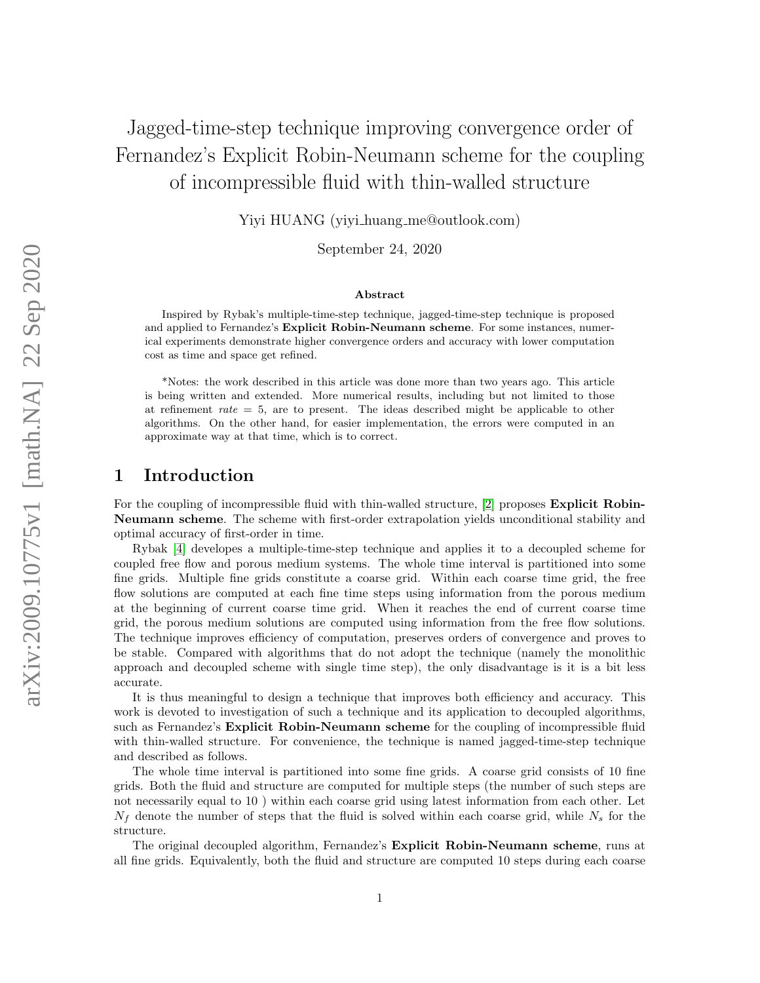# Jagged-time-step technique improving convergence order of Fernandez's Explicit Robin-Neumann scheme for the coupling of incompressible fluid with thin-walled structure

Yiyi HUANG (yiyi\_huang\_me@outlook.com)

September 24, 2020

#### Abstract

Inspired by Rybak's multiple-time-step technique, jagged-time-step technique is proposed and applied to Fernandez's Explicit Robin-Neumann scheme. For some instances, numerical experiments demonstrate higher convergence orders and accuracy with lower computation cost as time and space get refined.

\*Notes: the work described in this article was done more than two years ago. This article is being written and extended. More numerical results, including but not limited to those at refinement  $rate = 5$ , are to present. The ideas described might be applicable to other algorithms. On the other hand, for easier implementation, the errors were computed in an approximate way at that time, which is to correct.

### 1 Introduction

For the coupling of incompressible fluid with thin-walled structure, [\[2\]](#page-12-0) proposes **Explicit Robin-**Neumann scheme. The scheme with first-order extrapolation yields unconditional stability and optimal accuracy of first-order in time.

Rybak [\[4\]](#page-12-1) developes a multiple-time-step technique and applies it to a decoupled scheme for coupled free flow and porous medium systems. The whole time interval is partitioned into some fine grids. Multiple fine grids constitute a coarse grid. Within each coarse time grid, the free flow solutions are computed at each fine time steps using information from the porous medium at the beginning of current coarse time grid. When it reaches the end of current coarse time grid, the porous medium solutions are computed using information from the free flow solutions. The technique improves efficiency of computation, preserves orders of convergence and proves to be stable. Compared with algorithms that do not adopt the technique (namely the monolithic approach and decoupled scheme with single time step), the only disadvantage is it is a bit less accurate.

It is thus meaningful to design a technique that improves both efficiency and accuracy. This work is devoted to investigation of such a technique and its application to decoupled algorithms, such as Fernandez's **Explicit Robin-Neumann scheme** for the coupling of incompressible fluid with thin-walled structure. For convenience, the technique is named jagged-time-step technique and described as follows.

The whole time interval is partitioned into some fine grids. A coarse grid consists of 10 fine grids. Both the fluid and structure are computed for multiple steps (the number of such steps are not necessarily equal to 10 ) within each coarse grid using latest information from each other. Let  $N_f$  denote the number of steps that the fluid is solved within each coarse grid, while  $N_s$  for the structure.

The original decoupled algorithm, Fernandez's Explicit Robin-Neumann scheme, runs at all fine grids. Equivalently, both the fluid and structure are computed 10 steps during each coarse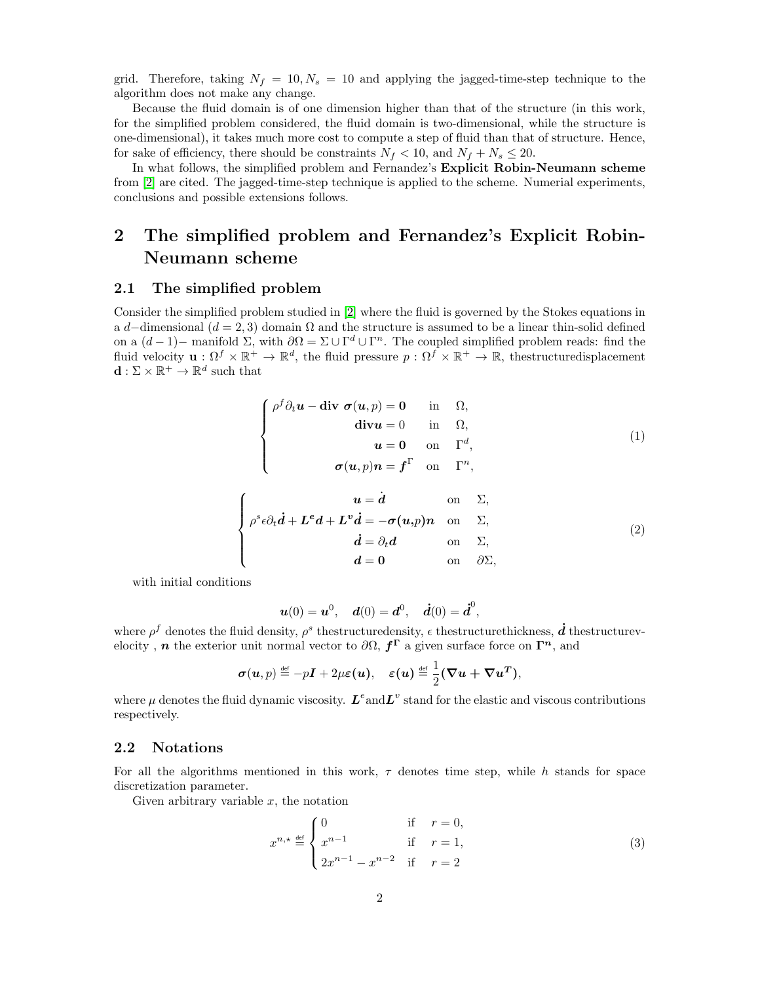grid. Therefore, taking  $N_f = 10$ ,  $N_s = 10$  and applying the jagged-time-step technique to the algorithm does not make any change.

Because the fluid domain is of one dimension higher than that of the structure (in this work, for the simplified problem considered, the fluid domain is two-dimensional, while the structure is one-dimensional), it takes much more cost to compute a step of fluid than that of structure. Hence, for sake of efficiency, there should be constraints  $N_f < 10$ , and  $N_f + N_s \leq 20$ .

In what follows, the simplified problem and Fernandez's Explicit Robin-Neumann scheme from [\[2\]](#page-12-0) are cited. The jagged-time-step technique is applied to the scheme. Numerial experiments, conclusions and possible extensions follows.

## 2 The simplified problem and Fernandez's Explicit Robin-Neumann scheme

#### 2.1 The simplified problem

Consider the simplified problem studied in [\[2\]](#page-12-0) where the fluid is governed by the Stokes equations in a d–dimensional ( $d = 2, 3$ ) domain  $\Omega$  and the structure is assumed to be a linear thin-solid defined on a  $(d-1)$ – manifold  $\Sigma$ , with  $\partial\Omega = \Sigma \cup \Gamma^d \cup \Gamma^n$ . The coupled simplified problem reads: find the fluid velocity  $\mathbf{u}: \Omega^f \times \mathbb{R}^+ \to \mathbb{R}^d$ , the fluid pressure  $p: \Omega^f \times \mathbb{R}^+ \to \mathbb{R}$ , thestructuredisplacement  $\mathbf{d}: \Sigma \times \mathbb{R}^+ \to \mathbb{R}^d$  such that

$$
\begin{cases}\n\rho^f \partial_t \boldsymbol{u} - \text{div } \boldsymbol{\sigma}(\boldsymbol{u}, p) = \mathbf{0} & \text{in } \Omega, \\
\text{div} \boldsymbol{u} = 0 & \text{in } \Omega, \\
\boldsymbol{u} = \mathbf{0} & \text{on } \Gamma^d, \\
\boldsymbol{\sigma}(\boldsymbol{u}, p) \boldsymbol{n} = \boldsymbol{f}^{\Gamma} & \text{on } \Gamma^n,\n\end{cases}
$$
\n(1)

<span id="page-1-0"></span>
$$
\begin{cases}\n u = \dot{d} & \text{on } \Sigma, \\
 \rho^{s} \epsilon \partial_{t} \dot{d} + L^{e} d + L^{v} \dot{d} = -\sigma(u, p) n & \text{on } \Sigma, \\
 \dot{d} = \partial_{t} d & \text{on } \Sigma, \\
 d = 0 & \text{on } \partial \Sigma,\n\end{cases}
$$
\n(2)

with initial conditions

$$
u(0) = u^0
$$
,  $d(0) = d^0$ ,  $\dot{d}(0) = \dot{d}^0$ ,

where  $\rho^f$  denotes the fluid density,  $\rho^s$  thestructuredensity,  $\epsilon$  thestructurethickness,  $\dot{d}$  thestructurevelocity, *n* the exterior unit normal vector to  $\partial\Omega$ ,  $f^{\Gamma}$  a given surface force on  $\Gamma^{n}$ , and

$$
\boldsymbol{\sigma}(\boldsymbol{u},p) \stackrel{\text{\tiny def}}{=} -p\boldsymbol{I} + 2\mu \boldsymbol{\varepsilon}(\boldsymbol{u}), \quad \boldsymbol{\varepsilon}(\boldsymbol{u}) \stackrel{\text{\tiny def}}{=} \frac{1}{2}(\boldsymbol{\nabla}\boldsymbol{u} + \boldsymbol{\nabla}\boldsymbol{u}^T),
$$

where  $\mu$  denotes the fluid dynamic viscosity.  $L^e$  and  $L^v$  stand for the elastic and viscous contributions respectively.

#### 2.2 Notations

For all the algorithms mentioned in this work,  $\tau$  denotes time step, while h stands for space discretization parameter.

Given arbitrary variable  $x$ , the notation

$$
x^{n,*} \stackrel{\text{def}}{=} \begin{cases} 0 & \text{if } r = 0, \\ x^{n-1} & \text{if } r = 1, \\ 2x^{n-1} - x^{n-2} & \text{if } r = 2 \end{cases}
$$
 (3)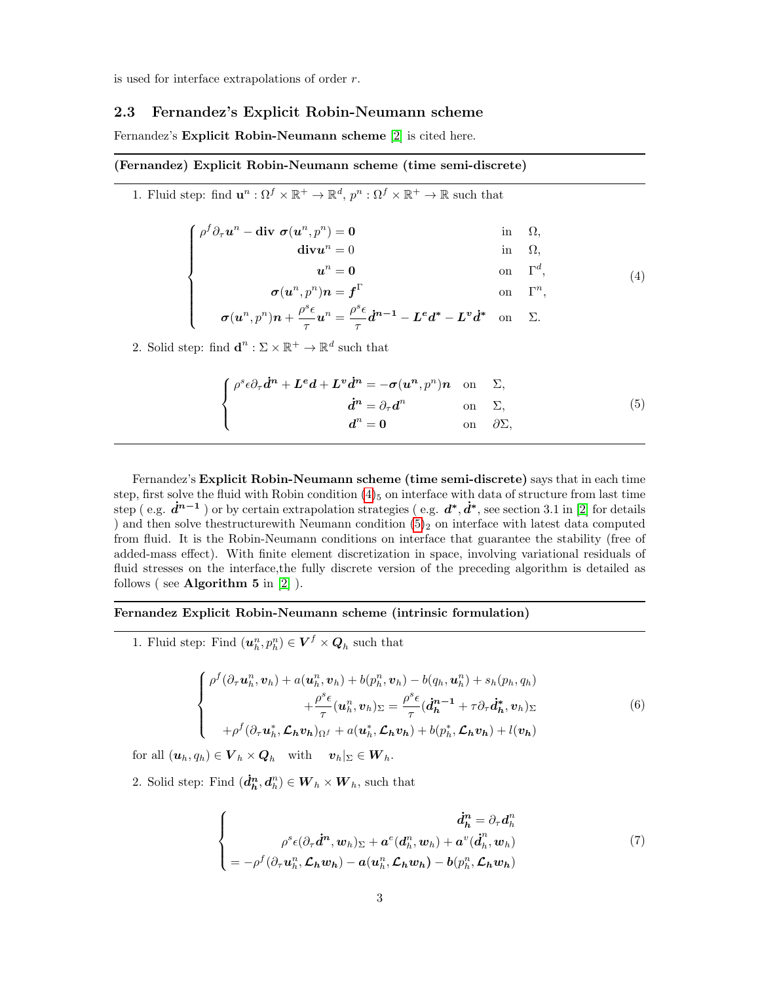is used for interface extrapolations of order r.

#### 2.3 Fernandez's Explicit Robin-Neumann scheme

Fernandez's Explicit Robin-Neumann scheme [\[2\]](#page-12-0) is cited here.

#### (Fernandez) Explicit Robin-Neumann scheme (time semi-discrete)

1. Fluid step: find  $\mathbf{u}^n : \Omega^f \times \mathbb{R}^+ \to \mathbb{R}^d$ ,  $p^n : \Omega^f \times \mathbb{R}^+ \to \mathbb{R}$  such that

<span id="page-2-0"></span>
$$
\begin{cases}\n\rho^f \partial_\tau u^n - \text{div } \sigma(u^n, p^n) = 0 & \text{in } \Omega, \\
\text{div} u^n = 0 & \text{in } \Omega, \\
u^n = 0 & \text{on } \Gamma^d, \\
\sigma(u^n, p^n) n = f^{\Gamma} & \text{on } \Gamma^n, \\
\sigma(u^n, p^n) n + \frac{\rho^s \epsilon}{\tau} u^n = \frac{\rho^s \epsilon}{\tau} \dot{d}^{n-1} - L^e d^* - L^v \dot{d}^* & \text{on } \Sigma.\n\end{cases}
$$
\n(4)

$$
\sigma(u^n,p^n)n+\frac{\rho^s\epsilon}{\tau}u^n=\frac{\rho^s\epsilon}{\tau}\dot{d}^{n-1}-L^ed^*-L^vd^*\quad\text{on}\quad\Sigma.
$$

2. Solid step: find  $\mathbf{d}^n : \Sigma \times \mathbb{R}^+ \to \mathbb{R}^d$  such that

<span id="page-2-1"></span>
$$
\begin{cases}\n\rho^s \epsilon \partial_\tau \dot{d}^n + L^e d + L^v \dot{d}^n = -\sigma(u^n, p^n) n & \text{on } \Sigma, \\
\dot{d}^n = \partial_\tau d^n & \text{on } \Sigma, \\
d^n = 0 & \text{on } \partial \Sigma,\n\end{cases}
$$
\n(5)

Fernandez's Explicit Robin-Neumann scheme (time semi-discrete) says that in each time step, first solve the fluid with Robin condition  $(4)_5$  on interface with data of structure from last time step (e.g.  $\dot{d}^{n-1}$ ) or by certain extrapolation strategies (e.g.  $d^*, \dot{d}^*,$  see section 3.1 in [\[2\]](#page-12-0) for details ) and then solve the structure with Neumann condition  $(5)_2$  on interface with latest data computed from fluid. It is the Robin-Neumann conditions on interface that guarantee the stability (free of added-mass effect). With finite element discretization in space, involving variational residuals of fluid stresses on the interface,the fully discrete version of the preceding algorithm is detailed as follows (see Algorithm  $5$  in  $[2]$  ).

#### Fernandez Explicit Robin-Neumann scheme (intrinsic formulation)

1. Fluid step: Find  $(\boldsymbol{u}_h^n, p_h^n) \in \boldsymbol{V}^f \times \boldsymbol{Q}_h$  such that

$$
\begin{cases}\n\rho^f(\partial_\tau \mathbf{u}_h^n, \mathbf{v}_h) + a(\mathbf{u}_h^n, \mathbf{v}_h) + b(p_h^n, \mathbf{v}_h) - b(q_h, \mathbf{u}_h^n) + s_h(p_h, q_h) \\
+ \frac{\rho^s \epsilon}{\tau} (\mathbf{u}_h^n, \mathbf{v}_h)_{\Sigma} = \frac{\rho^s \epsilon}{\tau} (\mathbf{d}_h^{n-1} + \tau \partial_\tau \mathbf{d}_h^*, \mathbf{v}_h)_{\Sigma} \\
+ \rho^f(\partial_\tau \mathbf{u}_h^*, \mathcal{L}_h \mathbf{v}_h)_{\Omega^f} + a(\mathbf{u}_h^*, \mathcal{L}_h \mathbf{v}_h) + b(p_h^*, \mathcal{L}_h \mathbf{v}_h) + l(\mathbf{v}_h)\n\end{cases} (6)
$$

for all  $(\boldsymbol{u}_h, q_h) \in \boldsymbol{V}_h \times \boldsymbol{Q}_h$  with  $\boldsymbol{v}_h|_{\Sigma} \in \boldsymbol{W}_h$ .

2. Solid step: Find  $(\dot{d}_h^n, d_h^n) \in \mathbf{W}_h \times \mathbf{W}_h$ , such that

$$
\begin{cases}\n\dot{d}_{h}^{n} = \partial_{\tau} d_{h}^{n} \\
\rho^{s} \epsilon (\partial_{\tau} \dot{d}^{n}, w_{h})_{\Sigma} + a^{e} (d_{h}^{n}, w_{h}) + a^{v} (\dot{d}_{h}^{n}, w_{h}) \\
= -\rho^{f} (\partial_{\tau} u_{h}^{n}, \mathcal{L}_{h} w_{h}) - a (u_{h}^{n}, \mathcal{L}_{h} w_{h}) - b (p_{h}^{n}, \mathcal{L}_{h} w_{h})\n\end{cases}
$$
\n(7)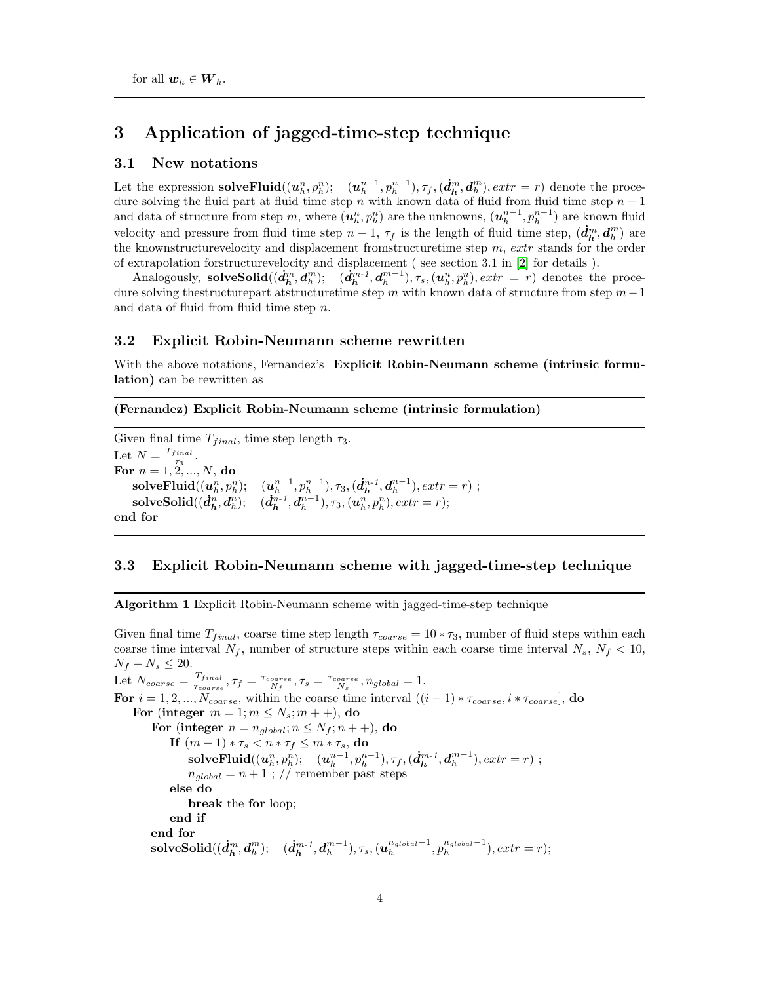### 3 Application of jagged-time-step technique

#### 3.1 New notations

Let the expression **solveFluid** $((u_h^n, p_h^n); (u_h^{n-1}, p_h^{n-1}), \tau_f, (\dot{d}_h^m, d_h^m), extr = r)$  denote the procedure solving the fluid part at fluid time step n with known data of fluid from fluid time step  $n-1$ and data of structure from step m, where  $(u_h^n, p_h^n)$  are the unknowns,  $(u_h^{n-1}, p_h^{n-1})$  are known fluid velocity and pressure from fluid time step  $n-1$ ,  $\tau_f$  is the length of fluid time step,  $(\dot{d}_h^m, d_h^m)$  are the knownstructurevelocity and displacement from tructuretime step  $m$ ,  $extr$  stands for the order of extrapolation forstructurevelocity and displacement ( see section 3.1 in [\[2\]](#page-12-0) for details ).

Analogously, solveSolid $((\dot{d}_h^m, \dot{d}_h^m); \quad (\dot{d}_h^{m-1}, d_h^{m-1}), \tau_s, (u_h^n, p_h^n), extr = r)$  denotes the procedure solving the<br>structurepart atstructuretime step  $m$  with known data of structure from step<br> $m-1$ and data of fluid from fluid time step n.

#### 3.2 Explicit Robin-Neumann scheme rewritten

With the above notations, Fernandez's Explicit Robin-Neumann scheme (intrinsic formulation) can be rewritten as

#### (Fernandez) Explicit Robin-Neumann scheme (intrinsic formulation)

Given final time  $T_{final}$ , time step length  $\tau_3$ . Let  $N = \frac{T_{final}}{\tau_0}$ . For  $n = \frac{1}{1, 2, ..., N}$ , do  $\textbf{solveFluid}((u_h^n, p_h^n); \quad (u_h^{n-1}, p_h^{n-1}), \tau_3, (\dot{d}_h^{n-1}, d_h^{n-1}), extra = r)$ ;  $\textbf{solveSolid}((\dot{\boldsymbol{d}}_h^n, \boldsymbol{d}_h^n); \quad (\dot{\boldsymbol{d}}_h^{n-1}, \boldsymbol{d}_h^{n-1}), \tau_3, (\boldsymbol{u}_h^n, p_h^n), extr = r);$ end for

#### 3.3 Explicit Robin-Neumann scheme with jagged-time-step technique

Algorithm 1 Explicit Robin-Neumann scheme with jagged-time-step technique

Given final time  $T_{final}$ , coarse time step length  $\tau_{coarse} = 10 * \tau_3$ , number of fluid steps within each coarse time interval  $N_f$ , number of structure steps within each coarse time interval  $N_s$ ,  $N_f$  < 10,  $N_f + N_s \le 20.$ Let  $N_{coarse} = \frac{T_{final}}{T_{coarse}}$  $\frac{T_{final}}{\tau_{coarse}}, \tau_f = \frac{\tau_{coarse}}{N_f}, \tau_s = \frac{\tau_{coarse}}{N_s}, n_{global} = 1.$ For  $i = 1, 2, ..., N_{coarse}$ , within the coarse time interval  $((i - 1) * \tau_{coarse}, i * \tau_{coarse}]$ , do For (integer  $m = 1; m \le N_s; m + 1$ ), do For (integer  $n = n_{global}$ ;  $n \le N_f$ ;  $n + +$ ), do If  $(m-1) * \tau_s < n * \tau_f \leq m * \tau_s$ , do  $\text{solveFluid}((u_h^n, p_h^n); \quad (u_h^{n-1}, p_h^{n-1}), \tau_f, (\dot{d}_h^{m-1}, d_h^{m-1}), extra = r)$ ;  $n_{global} = n + 1$ ; // remember past steps else do break the for loop; end if end for  $\textbf{solveSolid}((\boldsymbol{\dot{d}}_h^m, \boldsymbol{d}_h^m);\quad (\boldsymbol{\dot{d}}_h^{m-1}, \boldsymbol{d}_h^{m-1}), \tau_s, (\boldsymbol{u}_h^{n_{global}-1}, p_h^{n_{global}-1}), extr=r);$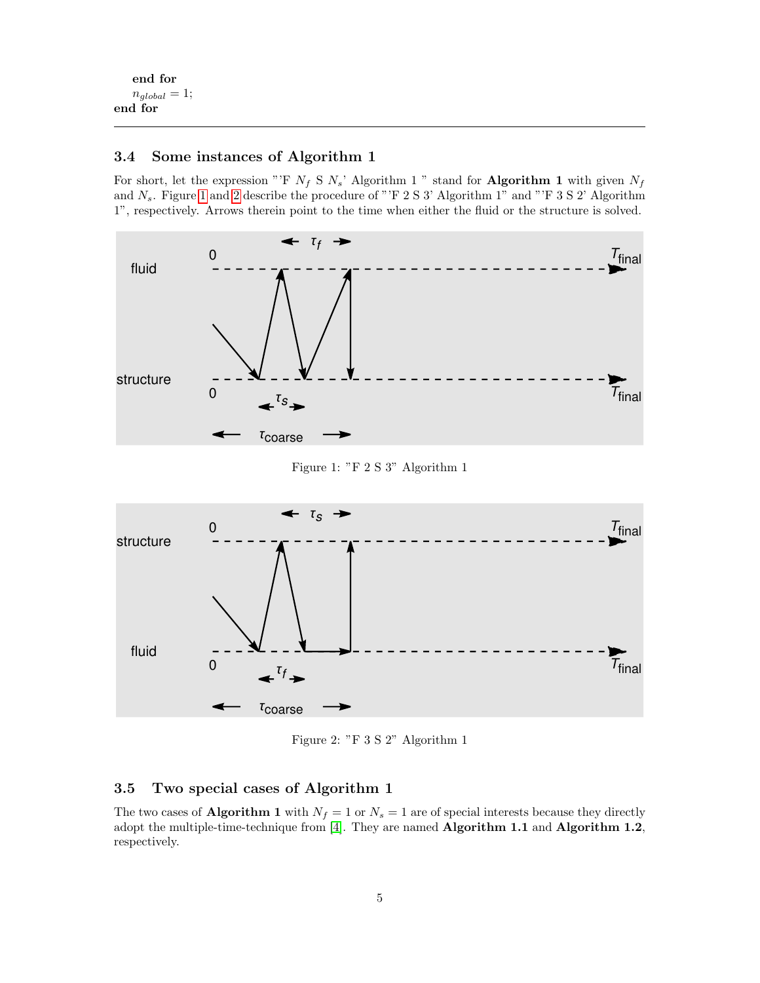end for  $n_{global} = 1;$ end for

#### 3.4 Some instances of Algorithm 1

For short, let the expression "'F  $N_f$  S  $N_s$ ' Algorithm 1 " stand for **Algorithm 1** with given  $N_f$ and  $N_s$ . Figure [1](#page-4-0) and [2](#page-4-1) describe the procedure of "'F 2 S 3' Algorithm 1" and "'F 3 S 2' Algorithm 1", respectively. Arrows therein point to the time when either the fluid or the structure is solved.



<span id="page-4-0"></span>Figure 1: "F 2 S 3" Algorithm 1



<span id="page-4-1"></span>Figure 2: "F 3 S 2" Algorithm 1

### 3.5 Two special cases of Algorithm 1

The two cases of **Algorithm 1** with  $N_f = 1$  or  $N_s = 1$  are of special interests because they directly adopt the multiple-time-technique from [\[4\]](#page-12-1). They are named Algorithm 1.1 and Algorithm 1.2, respectively.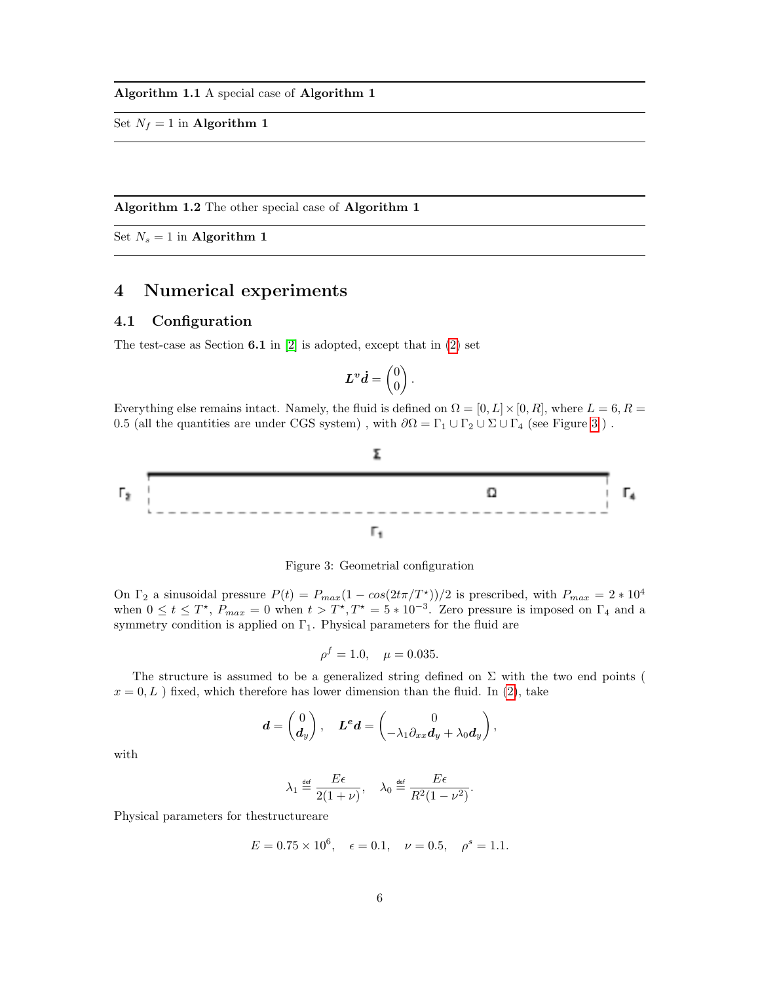Set  $N_f = 1$  in **Algorithm 1** 

Algorithm 1.2 The other special case of Algorithm 1

Set  $N_s = 1$  in **Algorithm 1** 

## 4 Numerical experiments

#### 4.1 Configuration

The test-case as Section  $6.1$  in  $[2]$  is adopted, except that in  $(2)$  set

$$
\boldsymbol{L}^{\boldsymbol{v}}\boldsymbol{d}=\begin{pmatrix}0\\0\end{pmatrix}.
$$

Everything else remains intact. Namely, the fluid is defined on  $\Omega = [0, L] \times [0, R]$ , where  $L = 6, R =$ 0.5 (all the quantities are under CGS system), with  $\partial\Omega = \Gamma_1 \cup \Gamma_2 \cup \Sigma \cup \Gamma_4$  (see Figure [3](#page-5-0)).



<span id="page-5-0"></span>Figure 3: Geometrial configuration

On  $\Gamma_2$  a sinusoidal pressure  $P(t) = P_{max}(1 - cos(2t\pi/T^*))/2$  is prescribed, with  $P_{max} = 2 * 10^4$ when  $0 \le t \le T^*$ ,  $P_{max} = 0$  when  $t > T^*$ ,  $T^* = 5 * 10^{-3}$ . Zero pressure is imposed on  $\Gamma_4$  and a symmetry condition is applied on  $\Gamma_1$ . Physical parameters for the fluid are

$$
\rho^f = 1.0, \quad \mu = 0.035.
$$

The structure is assumed to be a generalized string defined on  $\Sigma$  with the two end points (  $x = 0, L$ ) fixed, which therefore has lower dimension than the fluid. In [\(2\)](#page-1-0), take

$$
\boldsymbol{d} = \begin{pmatrix} 0 \\ \boldsymbol{d}_y \end{pmatrix}, \quad \boldsymbol{L}^{\boldsymbol{e}}\boldsymbol{d} = \begin{pmatrix} 0 \\ -\lambda_1 \partial_{xx} \boldsymbol{d}_y + \lambda_0 \boldsymbol{d}_y \end{pmatrix},
$$

with

$$
\lambda_1 \stackrel{\text{def}}{=} \frac{E\epsilon}{2(1+\nu)}, \quad \lambda_0 \stackrel{\text{def}}{=} \frac{E\epsilon}{R^2(1-\nu^2)}.
$$

Physical parameters for thestructureare

$$
E = 0.75 \times 10^6
$$
,  $\epsilon = 0.1$ ,  $\nu = 0.5$ ,  $\rho^s = 1.1$ .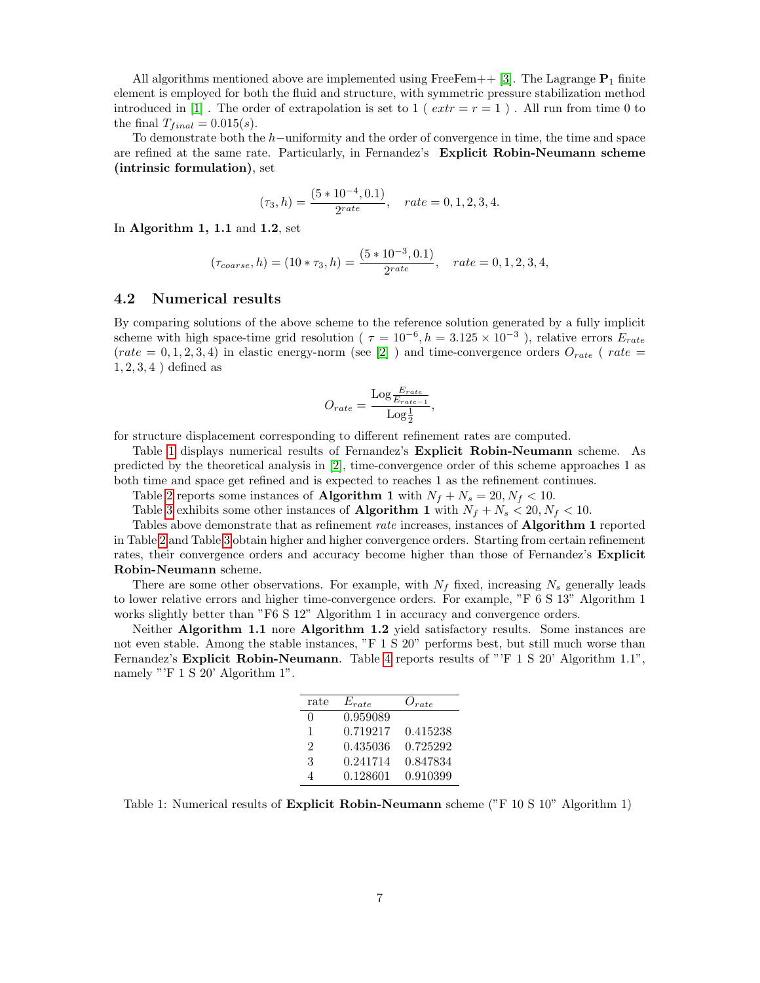All algorithms mentioned above are implemented using FreeFem++ [\[3\]](#page-12-2). The Lagrange  $P_1$  finite element is employed for both the fluid and structure, with symmetric pressure stabilization method introduced in [\[1\]](#page-12-3). The order of extrapolation is set to 1 ( $extr = r = 1$ ). All run from time 0 to the final  $T_{final} = 0.015(s)$ .

To demonstrate both the h−uniformity and the order of convergence in time, the time and space are refined at the same rate. Particularly, in Fernandez's Explicit Robin-Neumann scheme (intrinsic formulation), set

$$
(\tau_3, h) = \frac{(5 * 10^{-4}, 0.1)}{2^{rate}}, \quad rate = 0, 1, 2, 3, 4.
$$

In Algorithm 1, 1.1 and 1.2, set

$$
(\tau_{coarse}, h) = (10 * \tau_3, h) = \frac{(5 * 10^{-3}, 0.1)}{2^{rate}}, \quad rate = 0, 1, 2, 3, 4,
$$

#### 4.2 Numerical results

By comparing solutions of the above scheme to the reference solution generated by a fully implicit scheme with high space-time grid resolution ( $\tau = 10^{-6}$ ,  $h = 3.125 \times 10^{-3}$ ), relative errors  $E_{rate}$ (rate = 0, 1, 2, 3, 4) in elastic energy-norm (see [\[2\]](#page-12-0)) and time-convergence orders  $O_{rate}$  (rate =  $1, 2, 3, 4$  ) defined as

$$
O_{rate} = \frac{\text{Log} \frac{E_{rate}}{E_{rate}-1}}{\text{Log} \frac{1}{2}},
$$

for structure displacement corresponding to different refinement rates are computed.

Table [1](#page-6-0) displays numerical results of Fernandez's Explicit Robin-Neumann scheme. As predicted by the theoretical analysis in [\[2\]](#page-12-0), time-convergence order of this scheme approaches 1 as both time and space get refined and is expected to reaches 1 as the refinement continues.

Table [2](#page-7-0) reports some instances of **Algorithm 1** with  $N_f + N_s = 20, N_f < 10$ .

Table [3](#page-8-0) exhibits some other instances of **Algorithm 1** with  $N_f + N_s < 20$ ,  $N_f < 10$ .

Tables above demonstrate that as refinement rate increases, instances of Algorithm 1 reported in Table [2](#page-7-0) and Table [3](#page-8-0) obtain higher and higher convergence orders. Starting from certain refinement rates, their convergence orders and accuracy become higher than those of Fernandez's **Explicit** Robin-Neumann scheme.

There are some other observations. For example, with  $N_f$  fixed, increasing  $N_s$  generally leads to lower relative errors and higher time-convergence orders. For example, "F 6 S 13" Algorithm 1 works slightly better than "F6 S 12" Algorithm 1 in accuracy and convergence orders.

Neither Algorithm 1.1 nore Algorithm 1.2 yield satisfactory results. Some instances are not even stable. Among the stable instances, "F 1 S 20" performs best, but still much worse than Fernandez's **Explicit Robin-Neumann**. Table [4](#page-8-1) reports results of "'F 1 S 20' Algorithm 1.1", namely "'F 1 S 20' Algorithm 1".

| $_{\rm rate}$  | $E_{rate}$ | $O_{rate}$ |
|----------------|------------|------------|
| $\Omega$       | 0.959089   |            |
| 1              | 0.719217   | 0.415238   |
| $\mathfrak{D}$ | 0.435036   | 0.725292   |
| 3              | 0.241714   | 0.847834   |
| 4              | 0.128601   | 0.910399   |

<span id="page-6-0"></span>Table 1: Numerical results of Explicit Robin-Neumann scheme ("F 10 S 10" Algorithm 1)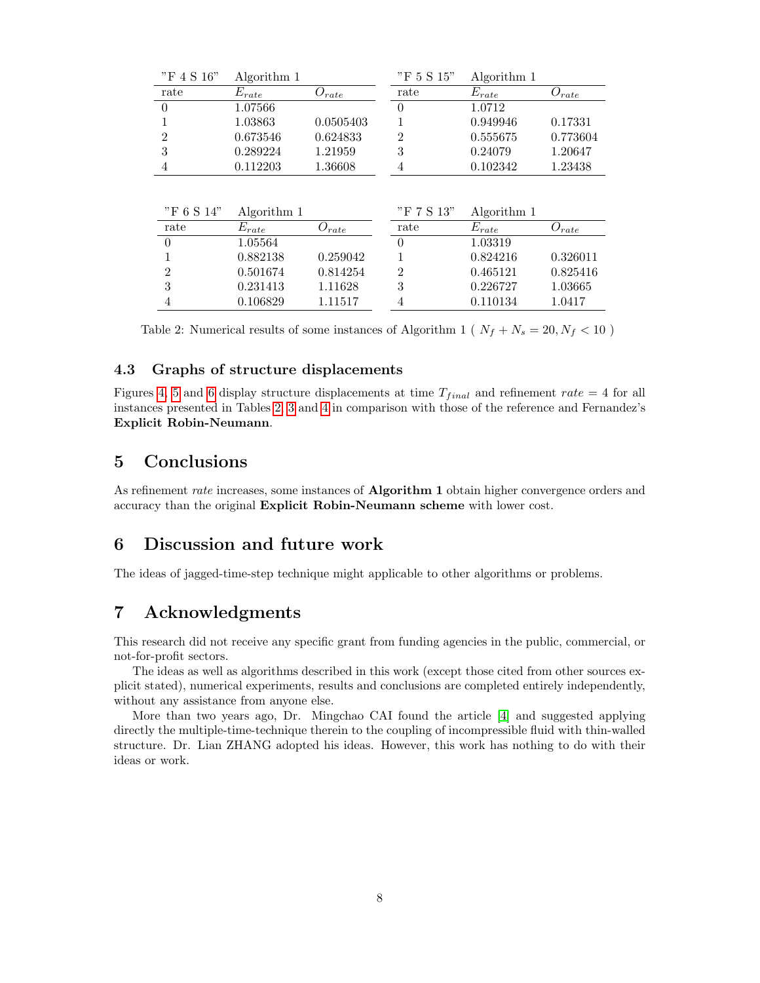| "F 4 S 16"<br>"F 5 S 15"<br>Algorithm 1                              | Algorithm 1 |
|----------------------------------------------------------------------|-------------|
| $E_{rate}$<br>$E_{rate}$<br>rate<br>rate<br>$O_{rate}$               | $O_{rate}$  |
| 1.07566<br>1.0712<br>$\theta$<br>$\theta$                            |             |
| 0.0505403<br>0.949946<br>1.03863                                     | 0.17331     |
| $\overline{2}$<br>0.673546<br>0.555675<br>0.624833<br>2              | 0.773604    |
| 3<br>3<br>0.289224<br>1.21959<br>0.24079                             | 1.20647     |
| 0.112203<br>0.102342<br>1.36608<br>4<br>4                            | 1.23438     |
|                                                                      |             |
|                                                                      |             |
| "F 6 S 14"<br>"F 7 S 13"<br>Algorithm 1                              | Algorithm 1 |
| $E_{rate}$<br>$E_{rate}$<br>rate<br>rate                             |             |
| $O_{rate}$<br>1.05564<br>$\theta$<br>$\theta$<br>1.03319             | $O_{rate}$  |
| 0.882138<br>0.259042<br>0.824216                                     | 0.326011    |
| $\overline{2}$<br>$\overline{2}$<br>0.501674<br>0.465121<br>0.814254 | 0.825416    |
| 3<br>3<br>0.226727<br>0.231413<br>1.11628                            | 1.03665     |

<span id="page-7-0"></span>Table 2: Numerical results of some instances of Algorithm 1 ( $N_f + N_s = 20, N_f < 10$ )

#### 4.3 Graphs of structure displacements

Figures [4,](#page-9-0) [5](#page-10-0) and [6](#page-11-0) display structure displacements at time  $T_{final}$  and refinement rate = 4 for all instances presented in Tables [2,](#page-7-0) [3](#page-8-0) and [4](#page-8-1) in comparison with those of the reference and Fernandez's Explicit Robin-Neumann.

## 5 Conclusions

As refinement rate increases, some instances of **Algorithm 1** obtain higher convergence orders and accuracy than the original Explicit Robin-Neumann scheme with lower cost.

## 6 Discussion and future work

The ideas of jagged-time-step technique might applicable to other algorithms or problems.

## 7 Acknowledgments

This research did not receive any specific grant from funding agencies in the public, commercial, or not-for-profit sectors.

The ideas as well as algorithms described in this work (except those cited from other sources explicit stated), numerical experiments, results and conclusions are completed entirely independently, without any assistance from anyone else.

More than two years ago, Dr. Mingchao CAI found the article [\[4\]](#page-12-1) and suggested applying directly the multiple-time-technique therein to the coupling of incompressible fluid with thin-walled structure. Dr. Lian ZHANG adopted his ideas. However, this work has nothing to do with their ideas or work.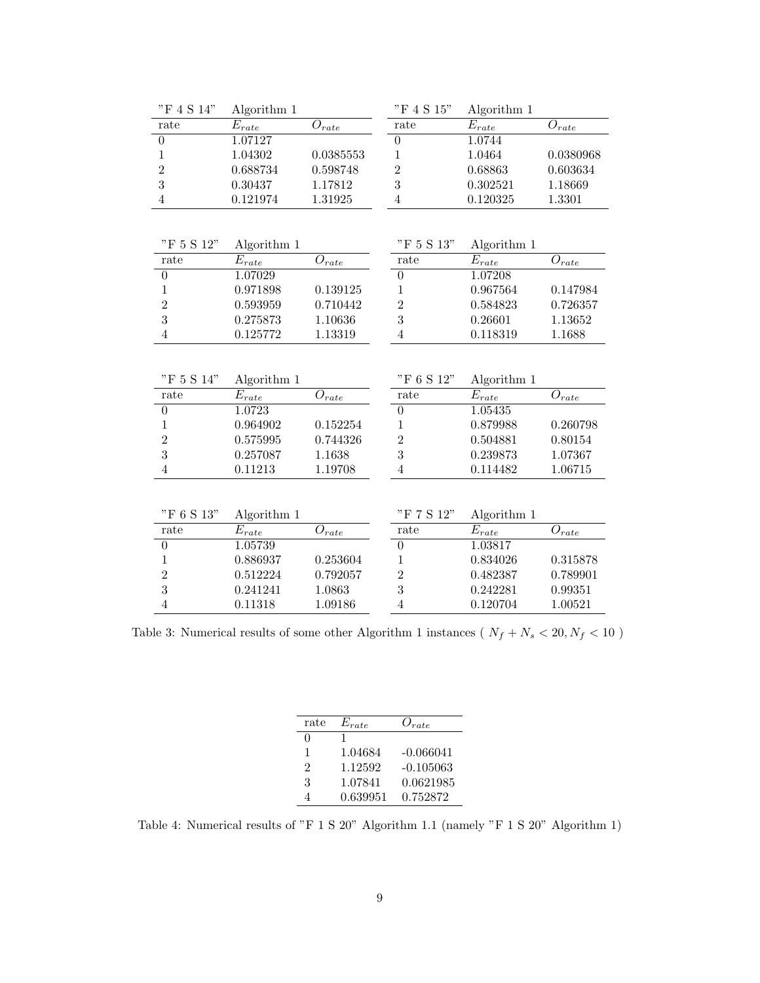| "F 4 S 14"       | Algorithm 1           |                       | "F 4 S 15"       | Algorithm 1           |                       |
|------------------|-----------------------|-----------------------|------------------|-----------------------|-----------------------|
| rate             | $\overline{E}_{rate}$ | $O_{rate}$            | rate             | $E_{rate}$            | ${\cal O}_{rate}$     |
| $\boldsymbol{0}$ | 1.07127               |                       | $\boldsymbol{0}$ | 1.0744                |                       |
| $\mathbf{1}$     | 1.04302               | 0.0385553             | $\mathbf{1}$     | 1.0464                | 0.0380968             |
| $\overline{2}$   | 0.688734              | 0.598748              | $\overline{2}$   | 0.68863               | 0.603634              |
| 3                | 0.30437               | 1.17812               | 3                | 0.302521              | 1.18669               |
| $\overline{4}$   | 0.121974              | 1.31925               | $\overline{4}$   | 0.120325              | 1.3301                |
|                  |                       |                       |                  |                       |                       |
|                  |                       |                       |                  |                       |                       |
| "F 5 S 12"       | Algorithm 1           |                       | "F 5 S 13"       | Algorithm 1           |                       |
| rate             | $\overline{E}_{rate}$ | $O_{rate}$            | rate             | $\overline{E_{rate}}$ | $O_{rate}$            |
| $\boldsymbol{0}$ | 1.07029               |                       | $\boldsymbol{0}$ | 1.07208               |                       |
| $\mathbf{1}$     | 0.971898              | 0.139125              | $\mathbf{1}$     | 0.967564              | 0.147984              |
| $\overline{2}$   | 0.593959              | 0.710442              | $\overline{2}$   | 0.584823              | 0.726357              |
| 3                | 0.275873              | 1.10636               | 3                | 0.26601               | 1.13652               |
| $\overline{4}$   | 0.125772              | 1.13319               | $\overline{4}$   | 0.118319              | 1.1688                |
|                  |                       |                       |                  |                       |                       |
|                  |                       |                       |                  |                       |                       |
| "F 5 S 14"       | Algorithm 1           |                       | "F 6 S 12"       | Algorithm 1           |                       |
| rate             | $E_{rate}$            | $O_{rate}$            | rate             | $\overline{E_{rate}}$ | $\mathcal{O}_{rate}$  |
| $\boldsymbol{0}$ | 1.0723                |                       | $\boldsymbol{0}$ | 1.05435               |                       |
| $\mathbf{1}$     | 0.964902              | 0.152254              | $\mathbf{1}$     | 0.879988              | 0.260798              |
| $\overline{2}$   | 0.575995              | 0.744326              | $\overline{2}$   | 0.504881              | 0.80154               |
| 3                | 0.257087              | 1.1638                | 3                | 0.239873              | 1.07367               |
| $\overline{4}$   | 0.11213               | 1.19708               | $\overline{4}$   | 0.114482              | 1.06715               |
|                  |                       |                       |                  |                       |                       |
|                  |                       |                       |                  |                       |                       |
| "F 6 S 13"       | Algorithm 1           |                       | "F 7 S 12"       | Algorithm 1           |                       |
| rate             | $E_{rate}$            | $\overline{O}_{rate}$ | rate             | $E_{rate}$            | $\overline{O}_{rate}$ |
| $\boldsymbol{0}$ | 1.05739               |                       | $\boldsymbol{0}$ | 1.03817               |                       |
| $\mathbf{1}$     | 0.886937              | 0.253604              | $\mathbf{1}$     | 0.834026              | 0.315878              |
| $\overline{2}$   | 0.512224              | 0.792057              | $\overline{2}$   | 0.482387              | 0.789901              |
| 3                | 0.241241              | 1.0863                | 3                | 0.242281              | 0.99351               |
| $\overline{4}$   | 0.11318               | 1.09186               | $\overline{4}$   | 0.120704              | 1.00521               |

<span id="page-8-0"></span>Table 3: Numerical results of some other Algorithm 1 instances (  $N_f+N_s<20, N_f<10$  )

| rate           | $E_{rate}$ | $O_{rate}$  |
|----------------|------------|-------------|
| $\Omega$       |            |             |
| 1              | 1.04684    | $-0.066041$ |
| $\mathfrak{D}$ | 1.12592    | $-0.105063$ |
| 3              | 1.07841    | 0.0621985   |
|                | 0.639951   | 0.752872    |
|                |            |             |

<span id="page-8-1"></span>Table 4: Numerical results of "F 1 S  $20$ " Algorithm 1.1 (namely "F 1 S  $20$ " Algorithm 1)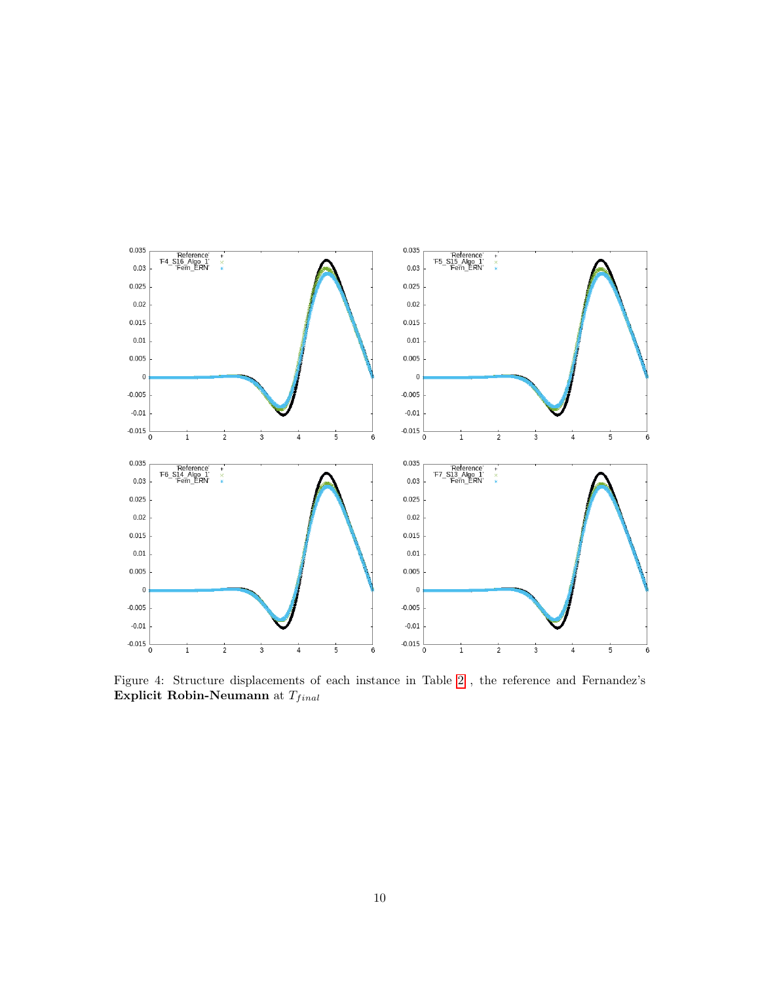

<span id="page-9-0"></span>Figure 4: Structure displacements of each instance in Table [2](#page-7-0) , the reference and Fernandez's Explicit Robin-Neumann at  $\mathcal{T}_{final}$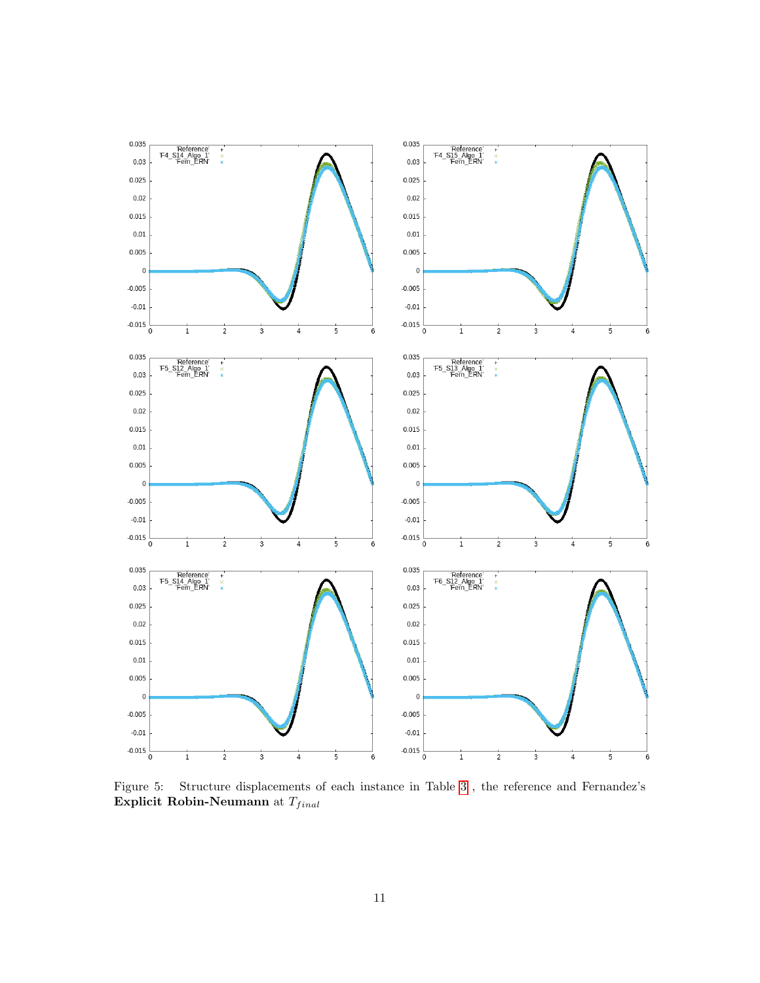

<span id="page-10-0"></span>Figure 5: Structure displacements of each instance in Table [3](#page-8-0) , the reference and Fernandez's Explicit Robin-Neumann at  $\mathcal{T}_{final}$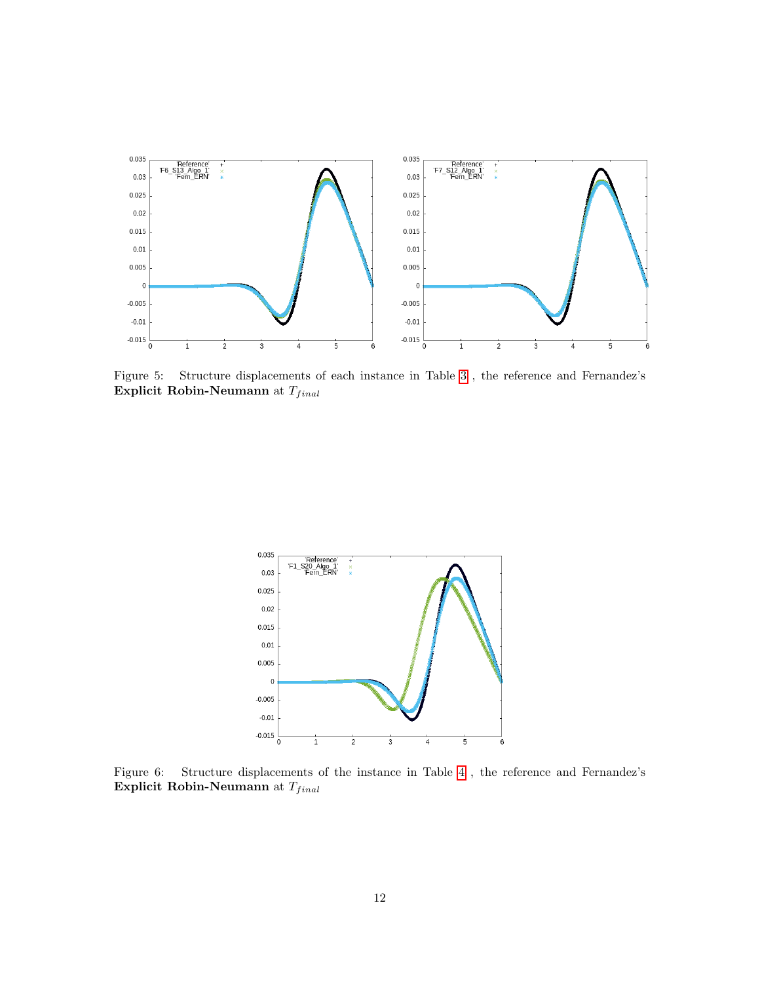

Figure 5: Structure displacements of each instance in Table [3](#page-8-0) , the reference and Fernandez's Explicit Robin-Neumann at  $\mathcal{T}_{final}$ 



<span id="page-11-0"></span>Figure 6: Structure displacements of the instance in Table [4](#page-8-1) , the reference and Fernandez's Explicit Robin-Neumann at  $\mathcal{T}_{final}$